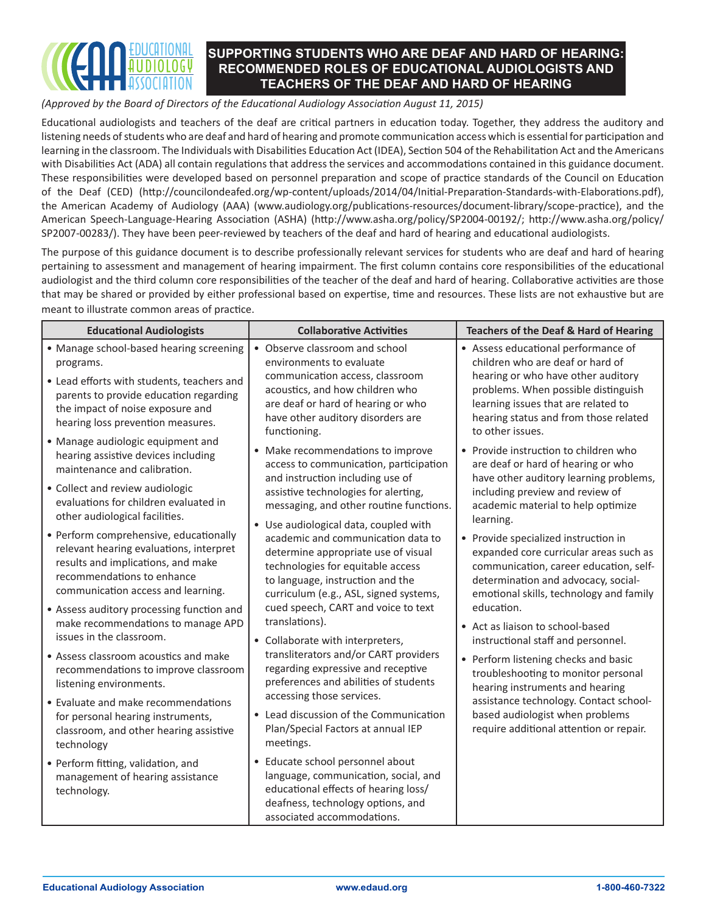

*(Approved by the Board of Directors of the Educational Audiology Association August 11, 2015)*

Educational audiologists and teachers of the deaf are critical partners in education today. Together, they address the auditory and listening needs of students who are deaf and hard of hearing and promote communication access which is essential for participation and learning in the classroom. The Individuals with Disabilities Education Act (IDEA), Section 504 of the Rehabilitation Act and the Americans with Disabilities Act (ADA) all contain regulations that address the services and accommodations contained in this guidance document. These responsibilities were developed based on personnel preparation and scope of practice standards of the Council on Education of the Deaf (CED) (http://councilondeafed.org/wp-content/uploads/2014/04/Initial-Preparation-Standards-with-Elaborations.pdf), the American Academy of Audiology (AAA) (www.audiology.org/publications-resources/document-library/scope-practice), and the American Speech-Language-Hearing Association (ASHA) (http://www.asha.org/policy/SP2004-00192/; http://www.asha.org/policy/ SP2007-00283/). They have been peer-reviewed by teachers of the deaf and hard of hearing and educational audiologists.

The purpose of this guidance document is to describe professionally relevant services for students who are deaf and hard of hearing pertaining to assessment and management of hearing impairment. The first column contains core responsibilities of the educational audiologist and the third column core responsibilities of the teacher of the deaf and hard of hearing. Collaborative activities are those that may be shared or provided by either professional based on expertise, time and resources. These lists are not exhaustive but are meant to illustrate common areas of practice.

| <b>Educational Audiologists</b>                                                                                                                                                                                       | <b>Collaborative Activities</b>                                                                                                                                                                                             | <b>Teachers of the Deaf &amp; Hard of Hearing</b>                                                                                                                                                                                                        |
|-----------------------------------------------------------------------------------------------------------------------------------------------------------------------------------------------------------------------|-----------------------------------------------------------------------------------------------------------------------------------------------------------------------------------------------------------------------------|----------------------------------------------------------------------------------------------------------------------------------------------------------------------------------------------------------------------------------------------------------|
| • Manage school-based hearing screening<br>programs.<br>• Lead efforts with students, teachers and<br>parents to provide education regarding<br>the impact of noise exposure and<br>hearing loss prevention measures. | • Observe classroom and school<br>environments to evaluate<br>communication access, classroom<br>acoustics, and how children who<br>are deaf or hard of hearing or who<br>have other auditory disorders are<br>functioning. | • Assess educational performance of<br>children who are deaf or hard of<br>hearing or who have other auditory<br>problems. When possible distinguish<br>learning issues that are related to<br>hearing status and from those related<br>to other issues. |
| • Manage audiologic equipment and                                                                                                                                                                                     | • Make recommendations to improve                                                                                                                                                                                           | • Provide instruction to children who                                                                                                                                                                                                                    |
| hearing assistive devices including                                                                                                                                                                                   | access to communication, participation                                                                                                                                                                                      | are deaf or hard of hearing or who                                                                                                                                                                                                                       |
| maintenance and calibration.                                                                                                                                                                                          | and instruction including use of                                                                                                                                                                                            | have other auditory learning problems,                                                                                                                                                                                                                   |
| • Collect and review audiologic                                                                                                                                                                                       | assistive technologies for alerting,                                                                                                                                                                                        | including preview and review of                                                                                                                                                                                                                          |
| evaluations for children evaluated in                                                                                                                                                                                 | messaging, and other routine functions.                                                                                                                                                                                     | academic material to help optimize                                                                                                                                                                                                                       |
| other audiological facilities.                                                                                                                                                                                        | • Use audiological data, coupled with                                                                                                                                                                                       | learning.                                                                                                                                                                                                                                                |
| • Perform comprehensive, educationally                                                                                                                                                                                | academic and communication data to                                                                                                                                                                                          | • Provide specialized instruction in                                                                                                                                                                                                                     |
| relevant hearing evaluations, interpret                                                                                                                                                                               | determine appropriate use of visual                                                                                                                                                                                         | expanded core curricular areas such as                                                                                                                                                                                                                   |
| results and implications, and make                                                                                                                                                                                    | technologies for equitable access                                                                                                                                                                                           | communication, career education, self-                                                                                                                                                                                                                   |
| recommendations to enhance                                                                                                                                                                                            | to language, instruction and the                                                                                                                                                                                            | determination and advocacy, social-                                                                                                                                                                                                                      |
| communication access and learning.                                                                                                                                                                                    | curriculum (e.g., ASL, signed systems,                                                                                                                                                                                      | emotional skills, technology and family                                                                                                                                                                                                                  |
| • Assess auditory processing function and                                                                                                                                                                             | cued speech, CART and voice to text                                                                                                                                                                                         | education.                                                                                                                                                                                                                                               |
| make recommendations to manage APD                                                                                                                                                                                    | translations).                                                                                                                                                                                                              | • Act as liaison to school-based                                                                                                                                                                                                                         |
| issues in the classroom.                                                                                                                                                                                              | • Collaborate with interpreters,                                                                                                                                                                                            | instructional staff and personnel.                                                                                                                                                                                                                       |
| • Assess classroom acoustics and make                                                                                                                                                                                 | transliterators and/or CART providers                                                                                                                                                                                       | • Perform listening checks and basic                                                                                                                                                                                                                     |
| recommendations to improve classroom                                                                                                                                                                                  | regarding expressive and receptive                                                                                                                                                                                          | troubleshooting to monitor personal                                                                                                                                                                                                                      |
| listening environments.                                                                                                                                                                                               | preferences and abilities of students                                                                                                                                                                                       | hearing instruments and hearing                                                                                                                                                                                                                          |
| • Evaluate and make recommendations<br>for personal hearing instruments,<br>classroom, and other hearing assistive<br>technology                                                                                      | accessing those services.<br>• Lead discussion of the Communication<br>Plan/Special Factors at annual IEP<br>meetings.                                                                                                      | assistance technology. Contact school-<br>based audiologist when problems<br>require additional attention or repair.                                                                                                                                     |
| · Perform fitting, validation, and<br>management of hearing assistance<br>technology.                                                                                                                                 | • Educate school personnel about<br>language, communication, social, and<br>educational effects of hearing loss/<br>deafness, technology options, and<br>associated accommodations.                                         |                                                                                                                                                                                                                                                          |